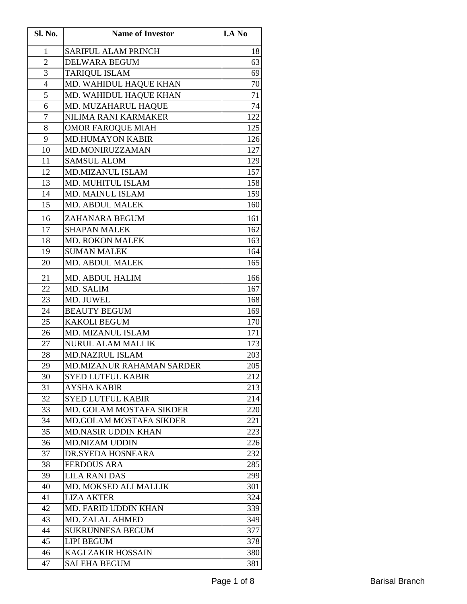| Sl. No.        | <b>Name of Investor</b>        | <b>I.A No</b> |
|----------------|--------------------------------|---------------|
| 1              | <b>SARIFUL ALAM PRINCH</b>     | 18            |
| $\overline{2}$ | <b>DELWARA BEGUM</b>           | 63            |
| 3              | <b>TARIQUL ISLAM</b>           | 69            |
| $\overline{4}$ | MD. WAHIDUL HAQUE KHAN         | 70            |
| 5              | MD. WAHIDUL HAQUE KHAN         | 71            |
| 6              | MD. MUZAHARUL HAQUE            | 74            |
| $\overline{7}$ | NILIMA RANI KARMAKER           | 122           |
| 8              | <b>OMOR FAROQUE MIAH</b>       | 125           |
| 9              | <b>MD.HUMAYON KABIR</b>        | 126           |
| 10             | MD.MONIRUZZAMAN                | 127           |
| 11             | <b>SAMSUL ALOM</b>             | 129           |
| 12             | <b>MD.MIZANUL ISLAM</b>        | 157           |
| 13             | MD. MUHITUL ISLAM              | 158           |
| 14             | MD. MAINUL ISLAM               | 159           |
| 15             | <b>MD. ABDUL MALEK</b>         | 160           |
| 16             | ZAHANARA BEGUM                 | 161           |
| 17             | <b>SHAPAN MALEK</b>            | 162           |
| 18             | <b>MD. ROKON MALEK</b>         | 163           |
| 19             | <b>SUMAN MALEK</b>             | 164           |
| 20             | MD. ABDUL MALEK                | 165           |
| 21             | MD. ABDUL HALIM                | 166           |
| 22             | MD. SALIM                      | 167           |
| 23             | MD. JUWEL                      | 168           |
| 24             | <b>BEAUTY BEGUM</b>            | 169           |
| 25             | <b>KAKOLI BEGUM</b>            | 170           |
| 26             | MD. MIZANUL ISLAM              | 171           |
| 27             | <b>NURUL ALAM MALLIK</b>       | 173           |
| 28             | <b>MD.NAZRUL ISLAM</b>         | 203           |
| 29             | MD.MIZANUR RAHAMAN SARDER      | 205           |
| 30             | <b>SYED LUTFUL KABIR</b>       | 212           |
| 31             | <b>AYSHA KABIR</b>             | 213           |
| 32             | <b>SYED LUTFUL KABIR</b>       | 214           |
| 33             | MD. GOLAM MOSTAFA SIKDER       | 220           |
| 34             | <b>MD.GOLAM MOSTAFA SIKDER</b> | 221           |
| 35             | <b>MD.NASIR UDDIN KHAN</b>     | 223           |
| 36             | <b>MD.NIZAM UDDIN</b>          | 226           |
| 37             | DR.SYEDA HOSNEARA              | 232           |
| 38             | <b>FERDOUS ARA</b>             | 285           |
| 39             | LILA RANI DAS                  | 299           |
| 40             | MD. MOKSED ALI MALLIK          | 301           |
| 41             | <b>LIZA AKTER</b>              | 324           |
| 42             | <b>MD. FARID UDDIN KHAN</b>    | 339           |
| 43             | <b>MD. ZALAL AHMED</b>         | 349           |
| 44             | <b>SUKRUNNESA BEGUM</b>        | 377           |
| 45             | <b>LIPI BEGUM</b>              | 378           |
| 46             | KAGI ZAKIR HOSSAIN             | 380           |
| 47             | <b>SALEHA BEGUM</b>            | 381           |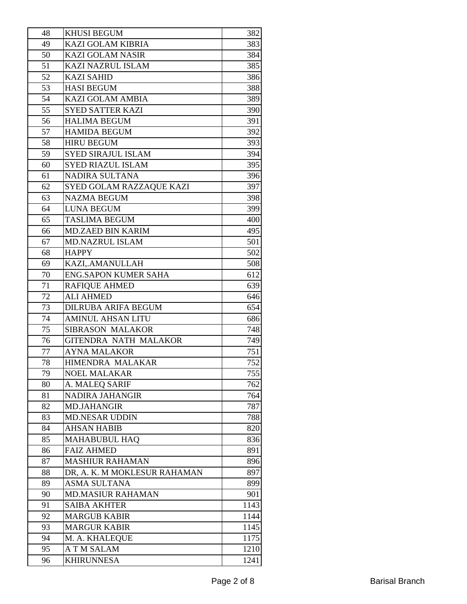| 48 | <b>KHUSI BEGUM</b>           | 382  |
|----|------------------------------|------|
| 49 | <b>KAZI GOLAM KIBRIA</b>     | 383  |
| 50 | <b>KAZI GOLAM NASIR</b>      | 384  |
| 51 | <b>KAZI NAZRUL ISLAM</b>     | 385  |
| 52 | <b>KAZI SAHID</b>            | 386  |
| 53 | <b>HASI BEGUM</b>            | 388  |
| 54 | <b>KAZI GOLAM AMBIA</b>      | 389  |
| 55 | <b>SYED SATTER KAZI</b>      | 390  |
| 56 | <b>HALIMA BEGUM</b>          | 391  |
| 57 | <b>HAMIDA BEGUM</b>          | 392  |
| 58 | <b>HIRU BEGUM</b>            | 393  |
| 59 | <b>SYED SIRAJUL ISLAM</b>    | 394  |
| 60 | <b>SYED RIAZUL ISLAM</b>     | 395  |
| 61 | NADIRA SULTANA               | 396  |
| 62 | SYED GOLAM RAZZAQUE KAZI     | 397  |
| 63 | <b>NAZMA BEGUM</b>           | 398  |
| 64 | <b>LUNA BEGUM</b>            | 399  |
| 65 | <b>TASLIMA BEGUM</b>         | 400  |
| 66 | <b>MD.ZAED BIN KARIM</b>     | 495  |
| 67 | <b>MD.NAZRUL ISLAM</b>       | 501  |
| 68 | <b>HAPPY</b>                 | 502  |
| 69 | KAZI,.AMANULLAH              | 508  |
| 70 | <b>ENG.SAPON KUMER SAHA</b>  | 612  |
| 71 | <b>RAFIQUE AHMED</b>         | 639  |
| 72 | <b>ALI AHMED</b>             | 646  |
| 73 | <b>DILRUBA ARIFA BEGUM</b>   | 654  |
| 74 | <b>AMINUL AHSAN LITU</b>     | 686  |
| 75 | <b>SIBRASON MALAKOR</b>      | 748  |
| 76 | GITENDRA NATH MALAKOR        | 749  |
| 77 | <b>AYNA MALAKOR</b>          | 751  |
| 78 | HIMENDRA MALAKAR             | 752  |
| 79 | <b>NOEL MALAKAR</b>          | 755  |
| 80 | A. MALEQ SARIF               | 762  |
| 81 | NADIRA JAHANGIR              | 764  |
| 82 | <b>MD.JAHANGIR</b>           | 787  |
| 83 | <b>MD.NESAR UDDIN</b>        | 788  |
| 84 | <b>AHSAN HABIB</b>           | 820  |
| 85 | <b>MAHABUBUL HAQ</b>         | 836  |
| 86 | <b>FAIZ AHMED</b>            | 891  |
| 87 | <b>MASHIUR RAHAMAN</b>       | 896  |
| 88 | DR, A. K. M MOKLESUR RAHAMAN | 897  |
| 89 | <b>ASMA SULTANA</b>          | 899  |
| 90 | <b>MD.MASIUR RAHAMAN</b>     | 901  |
| 91 | <b>SAIBA AKHTER</b>          | 1143 |
| 92 | <b>MARGUB KABIR</b>          | 1144 |
| 93 | <b>MARGUR KABIR</b>          | 1145 |
| 94 | M. A. KHALEQUE               | 1175 |
| 95 | A T M SALAM                  | 1210 |
| 96 | <b>KHIRUNNESA</b>            | 1241 |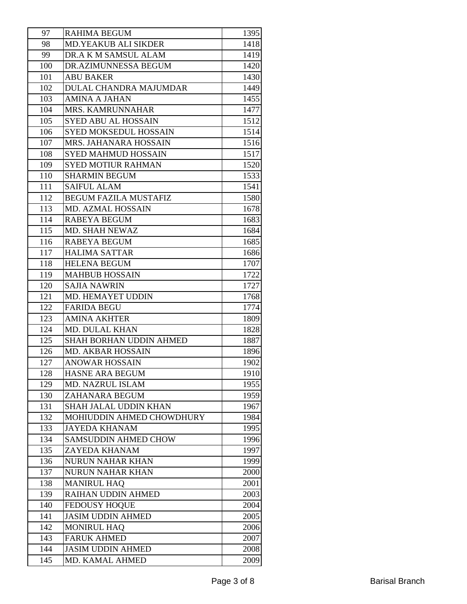| 97  | <b>RAHIMA BEGUM</b>          | 1395 |
|-----|------------------------------|------|
| 98  | <b>MD.YEAKUB ALI SIKDER</b>  | 1418 |
| 99  | DR.A K M SAMSUL ALAM         | 1419 |
| 100 | DR.AZIMUNNESSA BEGUM         | 1420 |
| 101 | <b>ABU BAKER</b>             | 1430 |
| 102 | DULAL CHANDRA MAJUMDAR       | 1449 |
| 103 | <b>AMINA A JAHAN</b>         | 1455 |
| 104 | MRS. KAMRUNNAHAR             | 1477 |
| 105 | <b>SYED ABU AL HOSSAIN</b>   | 1512 |
| 106 | SYED MOKSEDUL HOSSAIN        | 1514 |
| 107 | MRS. JAHANARA HOSSAIN        | 1516 |
| 108 | <b>SYED MAHMUD HOSSAIN</b>   | 1517 |
| 109 | <b>SYED MOTIUR RAHMAN</b>    | 1520 |
| 110 | <b>SHARMIN BEGUM</b>         | 1533 |
| 111 | <b>SAIFUL ALAM</b>           | 1541 |
| 112 | <b>BEGUM FAZILA MUSTAFIZ</b> | 1580 |
| 113 | MD. AZMAL HOSSAIN            | 1678 |
| 114 | <b>RABEYA BEGUM</b>          | 1683 |
| 115 | MD. SHAH NEWAZ               | 1684 |
| 116 | <b>RABEYA BEGUM</b>          | 1685 |
| 117 | <b>HALIMA SATTAR</b>         | 1686 |
| 118 | <b>HELENA BEGUM</b>          | 1707 |
| 119 | <b>MAHBUB HOSSAIN</b>        | 1722 |
| 120 | <b>SAJIA NAWRIN</b>          | 1727 |
| 121 | MD. HEMAYET UDDIN            | 1768 |
| 122 | <b>FARIDA BEGU</b>           | 1774 |
| 123 | <b>AMINA AKHTER</b>          | 1809 |
| 124 | <b>MD. DULAL KHAN</b>        | 1828 |
| 125 | SHAH BORHAN UDDIN AHMED      | 1887 |
| 126 | MD. AKBAR HOSSAIN            | 1896 |
| 127 | <b>ANOWAR HOSSAIN</b>        | 1902 |
| 128 | HASNE ARA BEGUM              | 1910 |
| 129 | MD. NAZRUL ISLAM             | 1955 |
| 130 | ZAHANARA BEGUM               | 1959 |
| 131 | SHAH JALAL UDDIN KHAN        | 1967 |
| 132 | MOHIUDDIN AHMED CHOWDHURY    | 1984 |
| 133 | <b>JAYEDA KHANAM</b>         | 1995 |
| 134 | <b>SAMSUDDIN AHMED CHOW</b>  | 1996 |
| 135 | ZAYEDA KHANAM                | 1997 |
| 136 | <b>NURUN NAHAR KHAN</b>      | 1999 |
| 137 | <b>NURUN NAHAR KHAN</b>      | 2000 |
| 138 | <b>MANIRUL HAQ</b>           | 2001 |
| 139 | RAIHAN UDDIN AHMED           | 2003 |
| 140 | <b>FEDOUSY HOQUE</b>         | 2004 |
| 141 | <b>JASIM UDDIN AHMED</b>     | 2005 |
| 142 | <b>MONIRUL HAQ</b>           | 2006 |
| 143 | <b>FARUK AHMED</b>           | 2007 |
| 144 | <b>JASIM UDDIN AHMED</b>     | 2008 |
| 145 | MD. KAMAL AHMED              | 2009 |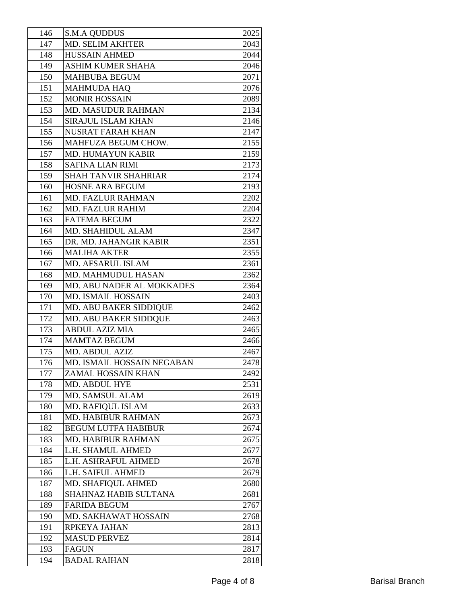| 146 | <b>S.M.A QUDDUS</b>         | 2025 |
|-----|-----------------------------|------|
| 147 | MD. SELIM AKHTER            | 2043 |
| 148 | <b>HUSSAIN AHMED</b>        | 2044 |
| 149 | <b>ASHIM KUMER SHAHA</b>    | 2046 |
| 150 | <b>MAHBUBA BEGUM</b>        | 2071 |
| 151 | <b>MAHMUDA HAQ</b>          | 2076 |
| 152 | <b>MONIR HOSSAIN</b>        | 2089 |
| 153 | <b>MD. MASUDUR RAHMAN</b>   | 2134 |
| 154 | <b>SIRAJUL ISLAM KHAN</b>   | 2146 |
| 155 | <b>NUSRAT FARAH KHAN</b>    | 2147 |
| 156 | MAHFUZA BEGUM CHOW.         | 2155 |
| 157 | MD. HUMAYUN KABIR           | 2159 |
| 158 | <b>SAFINA LIAN RIMI</b>     | 2173 |
| 159 | <b>SHAH TANVIR SHAHRIAR</b> | 2174 |
| 160 | <b>HOSNE ARA BEGUM</b>      | 2193 |
| 161 | <b>MD. FAZLUR RAHMAN</b>    | 2202 |
| 162 | <b>MD. FAZLUR RAHIM</b>     | 2204 |
| 163 | <b>FATEMA BEGUM</b>         | 2322 |
| 164 | MD. SHAHIDUL ALAM           | 2347 |
| 165 | DR. MD. JAHANGIR KABIR      | 2351 |
| 166 | <b>MALIHA AKTER</b>         | 2355 |
| 167 | MD. AFSARUL ISLAM           | 2361 |
| 168 | MD. MAHMUDUL HASAN          | 2362 |
| 169 | MD. ABU NADER AL MOKKADES   | 2364 |
| 170 | <b>MD. ISMAIL HOSSAIN</b>   | 2403 |
| 171 | MD. ABU BAKER SIDDIQUE      | 2462 |
| 172 | MD. ABU BAKER SIDDQUE       | 2463 |
| 173 | <b>ABDUL AZIZ MIA</b>       | 2465 |
| 174 | <b>MAMTAZ BEGUM</b>         | 2466 |
| 175 | MD. ABDUL AZIZ              | 2467 |
| 176 | MD. ISMAIL HOSSAIN NEGABAN  | 2478 |
| 177 | <b>ZAMAL HOSSAIN KHAN</b>   | 2492 |
| 178 | MD. ABDUL HYE               | 2531 |
| 179 | MD. SAMSUL ALAM             | 2619 |
| 180 | MD. RAFIQUL ISLAM           | 2633 |
| 181 | <b>MD. HABIBUR RAHMAN</b>   | 2673 |
| 182 | <b>BEGUM LUTFA HABIBUR</b>  | 2674 |
| 183 | <b>MD. HABIBUR RAHMAN</b>   | 2675 |
| 184 | L.H. SHAMUL AHMED           | 2677 |
| 185 | L.H. ASHRAFUL AHMED         | 2678 |
| 186 | L.H. SAIFUL AHMED           | 2679 |
| 187 | MD. SHAFIQUL AHMED          | 2680 |
| 188 | SHAHNAZ HABIB SULTANA       | 2681 |
| 189 | <b>FARIDA BEGUM</b>         | 2767 |
| 190 | MD. SAKHAWAT HOSSAIN        | 2768 |
| 191 | RPKEYA JAHAN                | 2813 |
| 192 | <b>MASUD PERVEZ</b>         | 2814 |
| 193 | <b>FAGUN</b>                | 2817 |
| 194 | <b>BADAL RAIHAN</b>         | 2818 |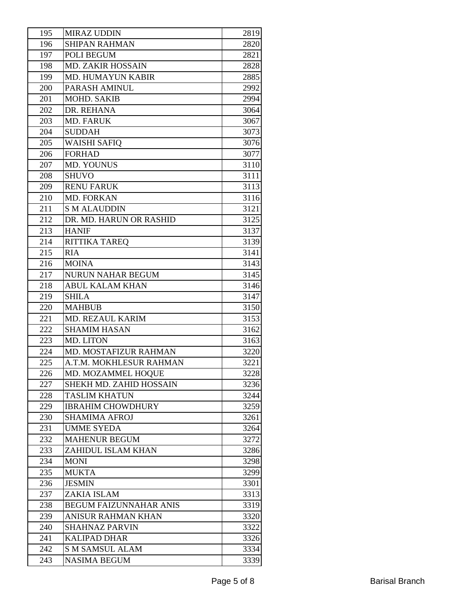| 195 | <b>MIRAZ UDDIN</b>             | 2819 |
|-----|--------------------------------|------|
| 196 | <b>SHIPAN RAHMAN</b>           | 2820 |
| 197 | POLI BEGUM                     | 2821 |
| 198 | <b>MD. ZAKIR HOSSAIN</b>       | 2828 |
| 199 | <b>MD. HUMAYUN KABIR</b>       | 2885 |
| 200 | PARASH AMINUL                  | 2992 |
| 201 | MOHD. SAKIB                    | 2994 |
| 202 | DR. REHANA                     | 3064 |
| 203 | <b>MD. FARUK</b>               | 3067 |
| 204 | <b>SUDDAH</b>                  | 3073 |
| 205 | <b>WAISHI SAFIQ</b>            | 3076 |
| 206 | <b>FORHAD</b>                  | 3077 |
| 207 | <b>MD. YOUNUS</b>              | 3110 |
| 208 | <b>SHUVO</b>                   | 3111 |
| 209 | <b>RENU FARUK</b>              | 3113 |
| 210 | <b>MD. FORKAN</b>              | 3116 |
| 211 | <b>S M ALAUDDIN</b>            | 3121 |
| 212 | DR. MD. HARUN OR RASHID        | 3125 |
| 213 | <b>HANIF</b>                   | 3137 |
| 214 | <b>RITTIKA TAREQ</b>           | 3139 |
| 215 | <b>RIA</b>                     | 3141 |
| 216 | <b>MOINA</b>                   | 3143 |
| 217 | <b>NURUN NAHAR BEGUM</b>       | 3145 |
| 218 | <b>ABUL KALAM KHAN</b>         | 3146 |
| 219 | <b>SHILA</b>                   | 3147 |
| 220 | <b>MAHBUB</b>                  | 3150 |
| 221 | MD. REZAUL KARIM               | 3153 |
| 222 | <b>SHAMIM HASAN</b>            | 3162 |
| 223 | MD. LITON                      | 3163 |
| 224 | MD. MOSTAFIZUR RAHMAN          | 3220 |
| 225 | A.T.M. MOKHLESUR RAHMAN        | 3221 |
| 226 | MD. MOZAMMEL HOQUE             | 3228 |
| 227 | <b>SHEKH MD. ZAHID HOSSAIN</b> | 3236 |
| 228 | <b>TASLIM KHATUN</b>           | 3244 |
| 229 | <b>IBRAHIM CHOWDHURY</b>       | 3259 |
| 230 | <b>SHAMIMA AFROJ</b>           | 3261 |
| 231 | <b>UMME SYEDA</b>              | 3264 |
| 232 | <b>MAHENUR BEGUM</b>           | 3272 |
| 233 | ZAHIDUL ISLAM KHAN             | 3286 |
| 234 | <b>MONI</b>                    | 3298 |
| 235 | <b>MUKTA</b>                   | 3299 |
| 236 | <b>JESMIN</b>                  | 3301 |
| 237 | ZAKIA ISLAM                    | 3313 |
| 238 | <b>BEGUM FAIZUNNAHAR ANIS</b>  | 3319 |
| 239 | <b>ANISUR RAHMAN KHAN</b>      | 3320 |
| 240 | <b>SHAHNAZ PARVIN</b>          | 3322 |
| 241 | <b>KALIPAD DHAR</b>            | 3326 |
| 242 | <b>S M SAMSUL ALAM</b>         | 3334 |
| 243 | <b>NASIMA BEGUM</b>            | 3339 |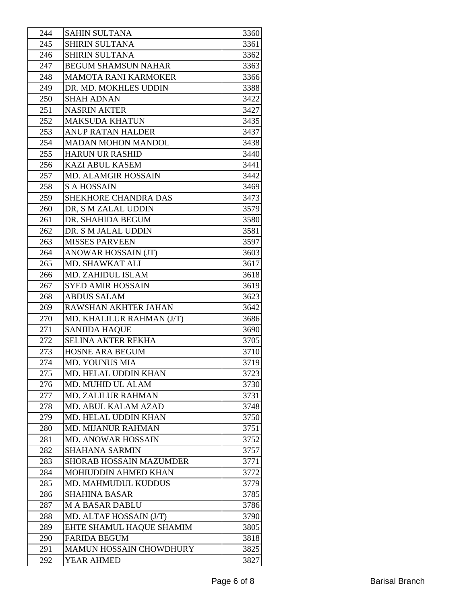| 244 | <b>SAHIN SULTANA</b>           | 3360 |
|-----|--------------------------------|------|
| 245 | <b>SHIRIN SULTANA</b>          | 3361 |
| 246 | SHIRIN SULTANA                 | 3362 |
| 247 | <b>BEGUM SHAMSUN NAHAR</b>     | 3363 |
| 248 | <b>MAMOTA RANI KARMOKER</b>    | 3366 |
| 249 | DR. MD. MOKHLES UDDIN          | 3388 |
| 250 | <b>SHAH ADNAN</b>              | 3422 |
| 251 | <b>NASRIN AKTER</b>            | 3427 |
| 252 | <b>MAKSUDA KHATUN</b>          | 3435 |
| 253 | <b>ANUP RATAN HALDER</b>       | 3437 |
| 254 | <b>MADAN MOHON MANDOL</b>      | 3438 |
| 255 | <b>HARUN UR RASHID</b>         | 3440 |
| 256 | <b>KAZI ABUL KASEM</b>         | 3441 |
| 257 | <b>MD. ALAMGIR HOSSAIN</b>     | 3442 |
| 258 | <b>S A HOSSAIN</b>             | 3469 |
| 259 | SHEKHORE CHANDRA DAS           | 3473 |
| 260 | DR, S M ZALAL UDDIN            | 3579 |
| 261 | DR. SHAHIDA BEGUM              | 3580 |
| 262 | DR. S M JALAL UDDIN            | 3581 |
| 263 | <b>MISSES PARVEEN</b>          | 3597 |
| 264 | ANOWAR HOSSAIN (JT)            | 3603 |
| 265 | MD. SHAWKAT ALI                | 3617 |
| 266 | MD. ZAHIDUL ISLAM              | 3618 |
| 267 | <b>SYED AMIR HOSSAIN</b>       | 3619 |
| 268 | <b>ABDUS SALAM</b>             | 3623 |
| 269 | RAWSHAN AKHTER JAHAN           | 3642 |
| 270 | MD. KHALILUR RAHMAN (J/T)      | 3686 |
| 271 | <b>SANJIDA HAQUE</b>           | 3690 |
| 272 | <b>SELINA AKTER REKHA</b>      | 3705 |
| 273 | <b>HOSNE ARA BEGUM</b>         | 3710 |
| 274 | <b>MD. YOUNUS MIA</b>          | 3719 |
| 275 | MD. HELAL UDDIN KHAN           | 3723 |
| 276 | MD. MUHID UL ALAM              | 3730 |
| 277 | <b>MD. ZALILUR RAHMAN</b>      | 3731 |
| 278 | MD. ABUL KALAM AZAD            | 3748 |
| 279 | MD. HELAL UDDIN KHAN           | 3750 |
| 280 | <b>MD. MIJANUR RAHMAN</b>      | 3751 |
| 281 | MD. ANOWAR HOSSAIN             | 3752 |
| 282 | <b>SHAHANA SARMIN</b>          | 3757 |
| 283 | <b>SHORAB HOSSAIN MAZUMDER</b> | 3771 |
| 284 | MOHIUDDIN AHMED KHAN           | 3772 |
| 285 | MD. MAHMUDUL KUDDUS            | 3779 |
| 286 | <b>SHAHINA BASAR</b>           | 3785 |
| 287 | <b>MA BASAR DABLU</b>          | 3786 |
| 288 | MD. ALTAF HOSSAIN (J/T)        | 3790 |
| 289 | EHTE SHAMUL HAQUE SHAMIM       | 3805 |
| 290 | <b>FARIDA BEGUM</b>            | 3818 |
| 291 | <b>MAMUN HOSSAIN CHOWDHURY</b> | 3825 |
| 292 | YEAR AHMED                     | 3827 |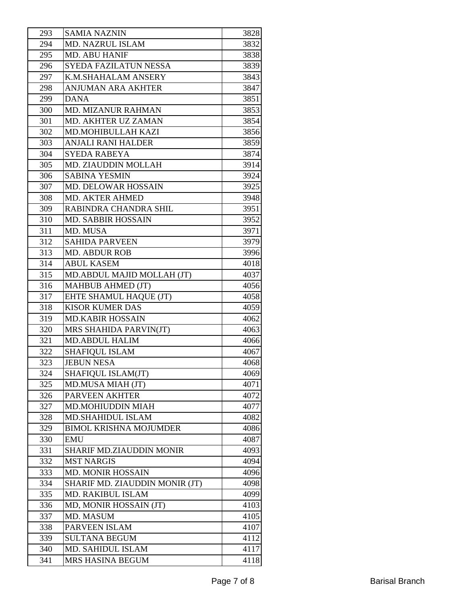| 293 | <b>SAMIA NAZNIN</b>            | 3828 |
|-----|--------------------------------|------|
| 294 | <b>MD. NAZRUL ISLAM</b>        | 3832 |
| 295 | <b>MD. ABU HANIF</b>           | 3838 |
| 296 | <b>SYEDA FAZILATUN NESSA</b>   | 3839 |
| 297 | K.M.SHAHALAM ANSERY            | 3843 |
| 298 | <b>ANJUMAN ARA AKHTER</b>      | 3847 |
| 299 | <b>DANA</b>                    | 3851 |
| 300 | <b>MD. MIZANUR RAHMAN</b>      | 3853 |
| 301 | MD. AKHTER UZ ZAMAN            | 3854 |
| 302 | MD.MOHIBULLAH KAZI             | 3856 |
| 303 | <b>ANJALI RANI HALDER</b>      | 3859 |
| 304 | <b>SYEDA RABEYA</b>            | 3874 |
| 305 | MD. ZIAUDDIN MOLLAH            | 3914 |
| 306 | <b>SABINA YESMIN</b>           | 3924 |
| 307 | MD. DELOWAR HOSSAIN            | 3925 |
| 308 | <b>MD. AKTER AHMED</b>         | 3948 |
| 309 | RABINDRA CHANDRA SHIL          | 3951 |
| 310 | <b>MD. SABBIR HOSSAIN</b>      | 3952 |
| 311 | MD. MUSA                       | 3971 |
| 312 | <b>SAHIDA PARVEEN</b>          | 3979 |
| 313 | <b>MD. ABDUR ROB</b>           | 3996 |
| 314 | <b>ABUL KASEM</b>              | 4018 |
| 315 | MD.ABDUL MAJID MOLLAH (JT)     | 4037 |
| 316 | <b>MAHBUB AHMED (JT)</b>       | 4056 |
| 317 | EHTE SHAMUL HAQUE (JT)         | 4058 |
| 318 | <b>KISOR KUMER DAS</b>         | 4059 |
| 319 | <b>MD.KABIR HOSSAIN</b>        | 4062 |
| 320 | MRS SHAHIDA PARVIN(JT)         | 4063 |
| 321 | <b>MD.ABDUL HALIM</b>          | 4066 |
| 322 | <b>SHAFIQUL ISLAM</b>          | 4067 |
| 323 | <b>JEBUN NESA</b>              | 4068 |
| 324 | SHAFIQUL ISLAM(JT)             | 4069 |
| 325 | MD.MUSA MIAH (JT)              | 4071 |
| 326 | <b>PARVEEN AKHTER</b>          | 4072 |
| 327 | MD.MOHIUDDIN MIAH              | 4077 |
| 328 | <b>MD.SHAHIDUL ISLAM</b>       | 4082 |
| 329 | <b>BIMOL KRISHNA MOJUMDER</b>  | 4086 |
| 330 | <b>EMU</b>                     | 4087 |
| 331 | SHARIF MD.ZIAUDDIN MONIR       | 4093 |
| 332 | <b>MST NARGIS</b>              | 4094 |
| 333 | <b>MD. MONIR HOSSAIN</b>       | 4096 |
| 334 | SHARIF MD. ZIAUDDIN MONIR (JT) | 4098 |
| 335 | MD. RAKIBUL ISLAM              | 4099 |
| 336 | MD, MONIR HOSSAIN (JT)         | 4103 |
| 337 | MD. MASUM                      | 4105 |
| 338 | PARVEEN ISLAM                  | 4107 |
| 339 | <b>SULTANA BEGUM</b>           | 4112 |
| 340 | MD. SAHIDUL ISLAM              | 4117 |
| 341 | MRS HASINA BEGUM               | 4118 |